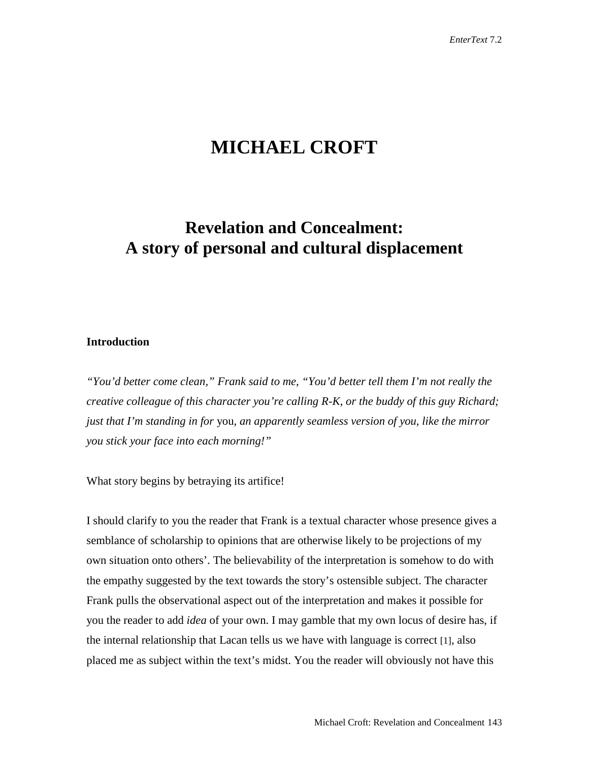# **MICHAEL CROFT**

## **Revelation and Concealment: A story of personal and cultural displacement**

### **Introduction**

*"You'd better come clean," Frank said to me, "You'd better tell them I'm not really the creative colleague of this character you're calling R-K, or the buddy of this guy Richard; just that I'm standing in for* you*, an apparently seamless version of you, like the mirror you stick your face into each morning!"*

What story begins by betraying its artifice!

I should clarify to you the reader that Frank is a textual character whose presence gives a semblance of scholarship to opinions that are otherwise likely to be projections of my own situation onto others'. The believability of the interpretation is somehow to do with the empathy suggested by the text towards the story's ostensible subject. The character Frank pulls the observational aspect out of the interpretation and makes it possible for you the reader to add *idea* of your own. I may gamble that my own locus of desire has, if the internal relationship that Lacan tells us we have with language is correct [1], also placed me as subject within the text's midst. You the reader will obviously not have this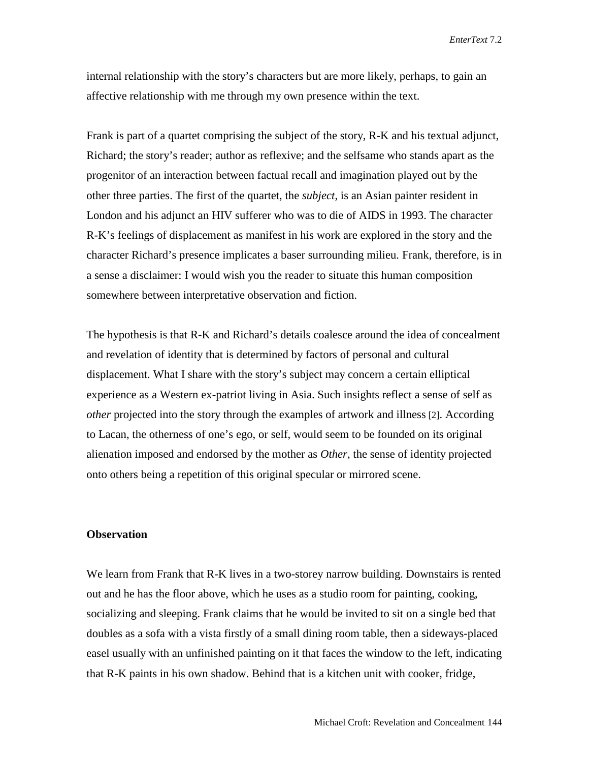internal relationship with the story's characters but are more likely, perhaps, to gain an affective relationship with me through my own presence within the text.

Frank is part of a quartet comprising the subject of the story, R-K and his textual adjunct, Richard; the story's reader; author as reflexive; and the selfsame who stands apart as the progenitor of an interaction between factual recall and imagination played out by the other three parties. The first of the quartet, the *subject*, is an Asian painter resident in London and his adjunct an HIV sufferer who was to die of AIDS in 1993. The character R-K's feelings of displacement as manifest in his work are explored in the story and the character Richard's presence implicates a baser surrounding milieu. Frank, therefore, is in a sense a disclaimer: I would wish you the reader to situate this human composition somewhere between interpretative observation and fiction.

The hypothesis is that R-K and Richard's details coalesce around the idea of concealment and revelation of identity that is determined by factors of personal and cultural displacement. What I share with the story's subject may concern a certain elliptical experience as a Western ex-patriot living in Asia. Such insights reflect a sense of self as *other* projected into the story through the examples of artwork and illness [2]. According to Lacan, the otherness of one's ego, or self, would seem to be founded on its original alienation imposed and endorsed by the mother as *Other*, the sense of identity projected onto others being a repetition of this original specular or mirrored scene.

### **Observation**

We learn from Frank that R-K lives in a two-storey narrow building. Downstairs is rented out and he has the floor above, which he uses as a studio room for painting, cooking, socializing and sleeping. Frank claims that he would be invited to sit on a single bed that doubles as a sofa with a vista firstly of a small dining room table, then a sideways-placed easel usually with an unfinished painting on it that faces the window to the left, indicating that R-K paints in his own shadow. Behind that is a kitchen unit with cooker, fridge,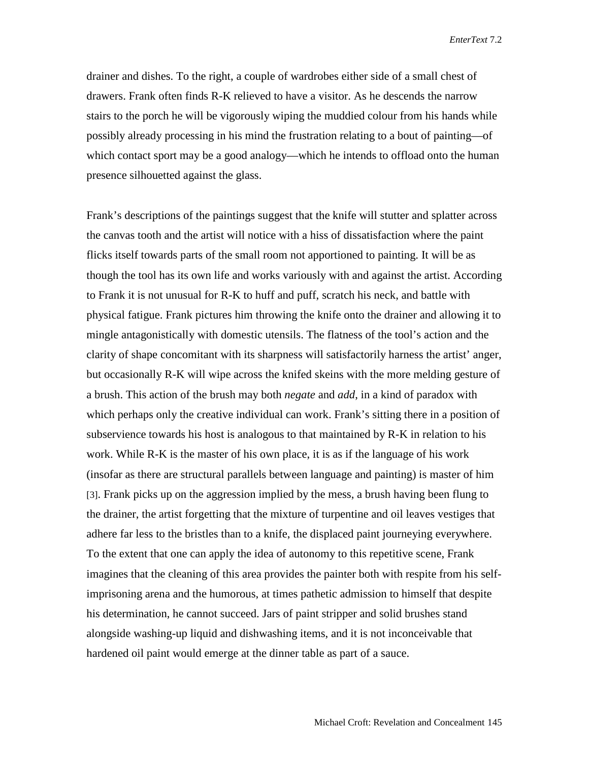drainer and dishes. To the right, a couple of wardrobes either side of a small chest of drawers. Frank often finds R-K relieved to have a visitor. As he descends the narrow stairs to the porch he will be vigorously wiping the muddied colour from his hands while possibly already processing in his mind the frustration relating to a bout of painting—of which contact sport may be a good analogy—which he intends to offload onto the human presence silhouetted against the glass.

Frank's descriptions of the paintings suggest that the knife will stutter and splatter across the canvas tooth and the artist will notice with a hiss of dissatisfaction where the paint flicks itself towards parts of the small room not apportioned to painting. It will be as though the tool has its own life and works variously with and against the artist. According to Frank it is not unusual for R-K to huff and puff, scratch his neck, and battle with physical fatigue. Frank pictures him throwing the knife onto the drainer and allowing it to mingle antagonistically with domestic utensils. The flatness of the tool's action and the clarity of shape concomitant with its sharpness will satisfactorily harness the artist' anger, but occasionally R-K will wipe across the knifed skeins with the more melding gesture of a brush. This action of the brush may both *negate* and *add*, in a kind of paradox with which perhaps only the creative individual can work. Frank's sitting there in a position of subservience towards his host is analogous to that maintained by R-K in relation to his work. While R-K is the master of his own place, it is as if the language of his work (insofar as there are structural parallels between language and painting) is master of him [3]. Frank picks up on the aggression implied by the mess, a brush having been flung to the drainer, the artist forgetting that the mixture of turpentine and oil leaves vestiges that adhere far less to the bristles than to a knife, the displaced paint journeying everywhere. To the extent that one can apply the idea of autonomy to this repetitive scene, Frank imagines that the cleaning of this area provides the painter both with respite from his selfimprisoning arena and the humorous, at times pathetic admission to himself that despite his determination, he cannot succeed. Jars of paint stripper and solid brushes stand alongside washing-up liquid and dishwashing items, and it is not inconceivable that hardened oil paint would emerge at the dinner table as part of a sauce.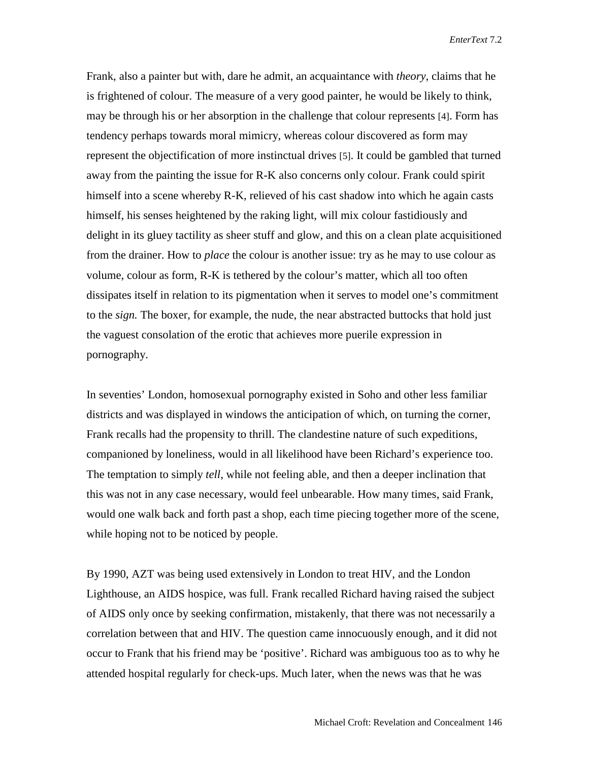Frank, also a painter but with, dare he admit, an acquaintance with *theory*, claims that he is frightened of colour. The measure of a very good painter, he would be likely to think, may be through his or her absorption in the challenge that colour represents [4]. Form has tendency perhaps towards moral mimicry, whereas colour discovered as form may represent the objectification of more instinctual drives [5]. It could be gambled that turned away from the painting the issue for R-K also concerns only colour. Frank could spirit himself into a scene whereby R-K, relieved of his cast shadow into which he again casts himself, his senses heightened by the raking light, will mix colour fastidiously and delight in its gluey tactility as sheer stuff and glow, and this on a clean plate acquisitioned from the drainer. How to *place* the colour is another issue: try as he may to use colour as volume, colour as form, R-K is tethered by the colour's matter, which all too often dissipates itself in relation to its pigmentation when it serves to model one's commitment to the *sign.* The boxer, for example, the nude, the near abstracted buttocks that hold just the vaguest consolation of the erotic that achieves more puerile expression in pornography.

In seventies' London, homosexual pornography existed in Soho and other less familiar districts and was displayed in windows the anticipation of which, on turning the corner, Frank recalls had the propensity to thrill. The clandestine nature of such expeditions, companioned by loneliness, would in all likelihood have been Richard's experience too. The temptation to simply *tell*, while not feeling able, and then a deeper inclination that this was not in any case necessary, would feel unbearable. How many times, said Frank, would one walk back and forth past a shop, each time piecing together more of the scene, while hoping not to be noticed by people.

By 1990, AZT was being used extensively in London to treat HIV, and the London Lighthouse, an AIDS hospice, was full. Frank recalled Richard having raised the subject of AIDS only once by seeking confirmation, mistakenly, that there was not necessarily a correlation between that and HIV. The question came innocuously enough, and it did not occur to Frank that his friend may be 'positive'. Richard was ambiguous too as to why he attended hospital regularly for check-ups. Much later, when the news was that he was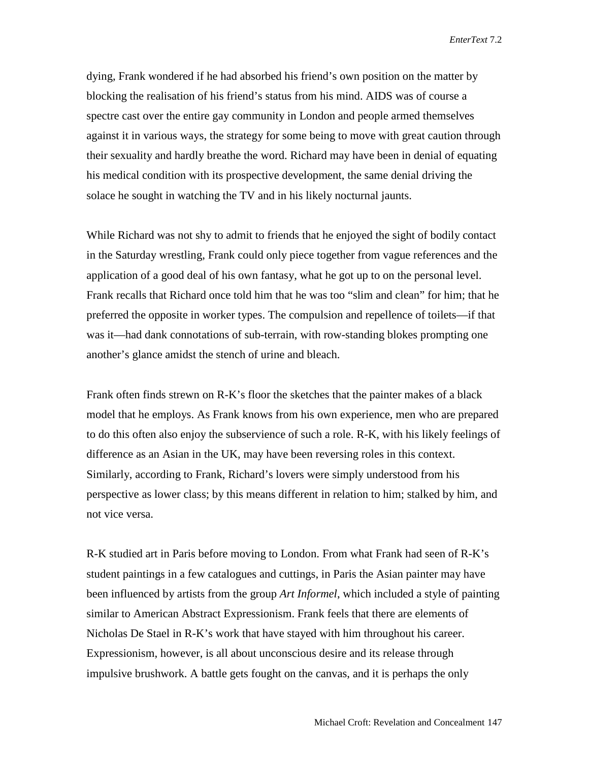dying, Frank wondered if he had absorbed his friend's own position on the matter by blocking the realisation of his friend's status from his mind. AIDS was of course a spectre cast over the entire gay community in London and people armed themselves against it in various ways, the strategy for some being to move with great caution through their sexuality and hardly breathe the word. Richard may have been in denial of equating his medical condition with its prospective development, the same denial driving the solace he sought in watching the TV and in his likely nocturnal jaunts.

While Richard was not shy to admit to friends that he enjoyed the sight of bodily contact in the Saturday wrestling, Frank could only piece together from vague references and the application of a good deal of his own fantasy, what he got up to on the personal level. Frank recalls that Richard once told him that he was too "slim and clean" for him; that he preferred the opposite in worker types. The compulsion and repellence of toilets—if that was it—had dank connotations of sub-terrain, with row-standing blokes prompting one another's glance amidst the stench of urine and bleach.

Frank often finds strewn on R-K's floor the sketches that the painter makes of a black model that he employs. As Frank knows from his own experience, men who are prepared to do this often also enjoy the subservience of such a role. R-K, with his likely feelings of difference as an Asian in the UK, may have been reversing roles in this context. Similarly, according to Frank, Richard's lovers were simply understood from his perspective as lower class; by this means different in relation to him; stalked by him, and not vice versa.

R-K studied art in Paris before moving to London. From what Frank had seen of R-K's student paintings in a few catalogues and cuttings, in Paris the Asian painter may have been influenced by artists from the group *Art Informel*, which included a style of painting similar to American Abstract Expressionism. Frank feels that there are elements of Nicholas De Stael in R-K's work that have stayed with him throughout his career. Expressionism, however, is all about unconscious desire and its release through impulsive brushwork. A battle gets fought on the canvas, and it is perhaps the only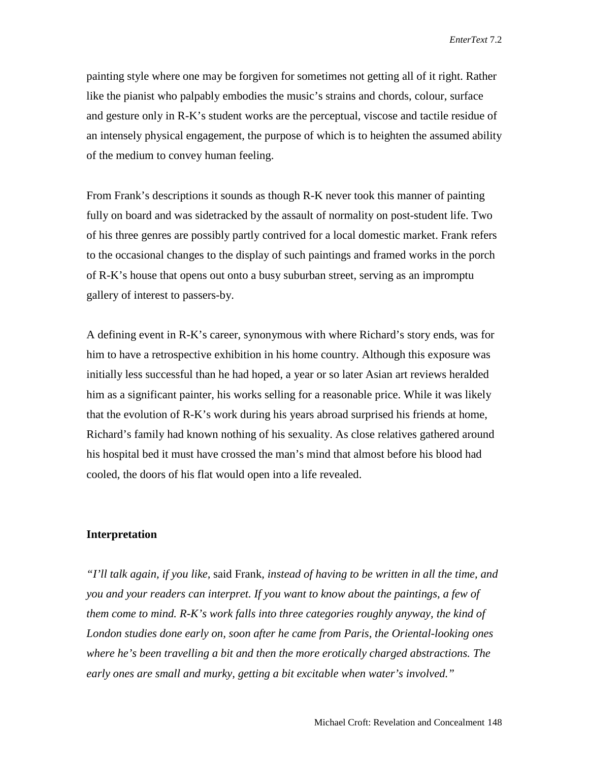painting style where one may be forgiven for sometimes not getting all of it right. Rather like the pianist who palpably embodies the music's strains and chords, colour, surface and gesture only in R-K's student works are the perceptual, viscose and tactile residue of an intensely physical engagement, the purpose of which is to heighten the assumed ability of the medium to convey human feeling.

From Frank's descriptions it sounds as though R-K never took this manner of painting fully on board and was sidetracked by the assault of normality on post-student life. Two of his three genres are possibly partly contrived for a local domestic market. Frank refers to the occasional changes to the display of such paintings and framed works in the porch of R-K's house that opens out onto a busy suburban street, serving as an impromptu gallery of interest to passers-by.

A defining event in R-K's career, synonymous with where Richard's story ends, was for him to have a retrospective exhibition in his home country. Although this exposure was initially less successful than he had hoped, a year or so later Asian art reviews heralded him as a significant painter, his works selling for a reasonable price. While it was likely that the evolution of R-K's work during his years abroad surprised his friends at home, Richard's family had known nothing of his sexuality. As close relatives gathered around his hospital bed it must have crossed the man's mind that almost before his blood had cooled, the doors of his flat would open into a life revealed.

#### **Interpretation**

*"I'll talk again, if you like,* said Frank*, instead of having to be written in all the time, and you and your readers can interpret. If you want to know about the paintings, a few of them come to mind. R-K's work falls into three categories roughly anyway, the kind of London studies done early on, soon after he came from Paris, the Oriental-looking ones where he's been travelling a bit and then the more erotically charged abstractions. The early ones are small and murky, getting a bit excitable when water's involved."*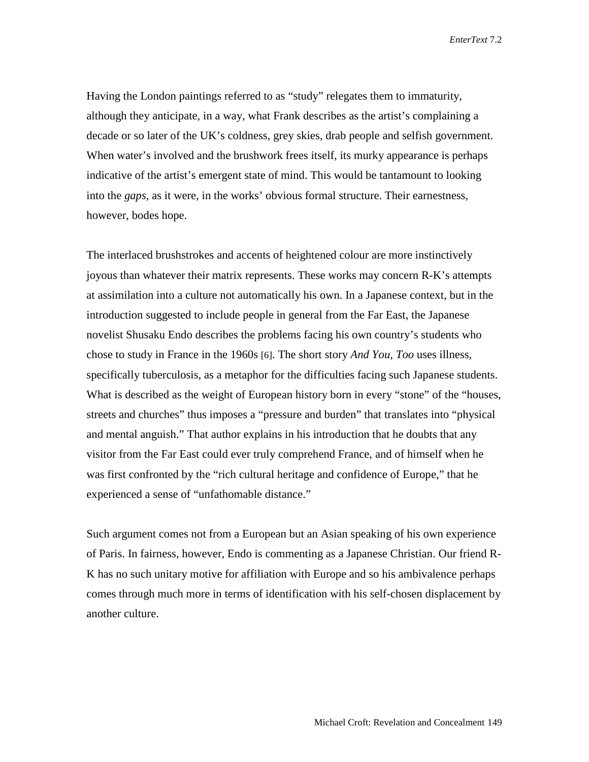Having the London paintings referred to as "study" relegates them to immaturity, although they anticipate, in a way, what Frank describes as the artist's complaining a decade or so later of the UK's coldness, grey skies, drab people and selfish government. When water's involved and the brushwork frees itself, its murky appearance is perhaps indicative of the artist's emergent state of mind. This would be tantamount to looking into the *gaps*, as it were, in the works' obvious formal structure. Their earnestness, however, bodes hope.

The interlaced brushstrokes and accents of heightened colour are more instinctively joyous than whatever their matrix represents. These works may concern R-K's attempts at assimilation into a culture not automatically his own. In a Japanese context, but in the introduction suggested to include people in general from the Far East, the Japanese novelist Shusaku Endo describes the problems facing his own country's students who chose to study in France in the 1960s [6]. The short story *And You, Too* uses illness, specifically tuberculosis, as a metaphor for the difficulties facing such Japanese students. What is described as the weight of European history born in every "stone" of the "houses, streets and churches" thus imposes a "pressure and burden" that translates into "physical and mental anguish." That author explains in his introduction that he doubts that any visitor from the Far East could ever truly comprehend France, and of himself when he was first confronted by the "rich cultural heritage and confidence of Europe," that he experienced a sense of "unfathomable distance."

Such argument comes not from a European but an Asian speaking of his own experience of Paris. In fairness, however, Endo is commenting as a Japanese Christian. Our friend R-K has no such unitary motive for affiliation with Europe and so his ambivalence perhaps comes through much more in terms of identification with his self-chosen displacement by another culture.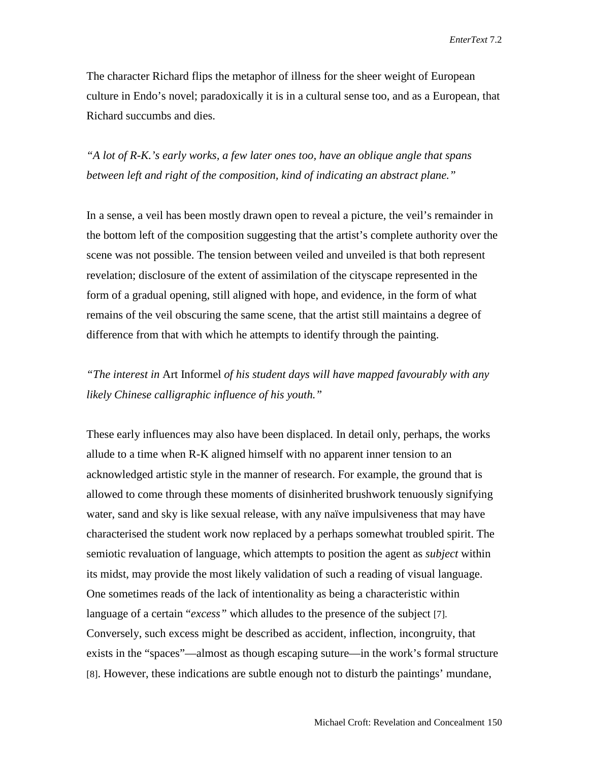The character Richard flips the metaphor of illness for the sheer weight of European culture in Endo's novel; paradoxically it is in a cultural sense too, and as a European, that Richard succumbs and dies.

*"A lot of R-K.'s early works, a few later ones too, have an oblique angle that spans between left and right of the composition, kind of indicating an abstract plane."* 

In a sense, a veil has been mostly drawn open to reveal a picture, the veil's remainder in the bottom left of the composition suggesting that the artist's complete authority over the scene was not possible. The tension between veiled and unveiled is that both represent revelation; disclosure of the extent of assimilation of the cityscape represented in the form of a gradual opening, still aligned with hope, and evidence, in the form of what remains of the veil obscuring the same scene, that the artist still maintains a degree of difference from that with which he attempts to identify through the painting.

*"The interest in* Art Informel *of his student days will have mapped favourably with any likely Chinese calligraphic influence of his youth."* 

These early influences may also have been displaced. In detail only, perhaps, the works allude to a time when R-K aligned himself with no apparent inner tension to an acknowledged artistic style in the manner of research. For example, the ground that is allowed to come through these moments of disinherited brushwork tenuously signifying water, sand and sky is like sexual release, with any naïve impulsiveness that may have characterised the student work now replaced by a perhaps somewhat troubled spirit. The semiotic revaluation of language, which attempts to position the agent as *subject* within its midst, may provide the most likely validation of such a reading of visual language. One sometimes reads of the lack of intentionality as being a characteristic within language of a certain "*excess"* which alludes to the presence of the subject [7]. Conversely, such excess might be described as accident, inflection, incongruity, that exists in the "spaces"—almost as though escaping suture—in the work's formal structure [8]. However, these indications are subtle enough not to disturb the paintings' mundane,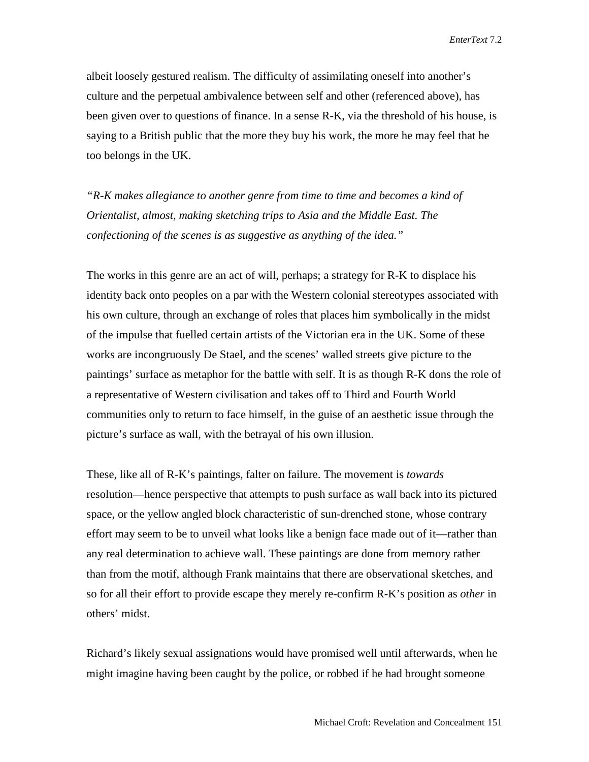albeit loosely gestured realism. The difficulty of assimilating oneself into another's culture and the perpetual ambivalence between self and other (referenced above), has been given over to questions of finance. In a sense R-K, via the threshold of his house, is saying to a British public that the more they buy his work, the more he may feel that he too belongs in the UK.

*"R-K makes allegiance to another genre from time to time and becomes a kind of Orientalist, almost, making sketching trips to Asia and the Middle East. The confectioning of the scenes is as suggestive as anything of the idea."*

The works in this genre are an act of will, perhaps; a strategy for R-K to displace his identity back onto peoples on a par with the Western colonial stereotypes associated with his own culture, through an exchange of roles that places him symbolically in the midst of the impulse that fuelled certain artists of the Victorian era in the UK. Some of these works are incongruously De Stael, and the scenes' walled streets give picture to the paintings' surface as metaphor for the battle with self. It is as though R-K dons the role of a representative of Western civilisation and takes off to Third and Fourth World communities only to return to face himself, in the guise of an aesthetic issue through the picture's surface as wall, with the betrayal of his own illusion.

These, like all of R-K's paintings, falter on failure. The movement is *towards* resolution—hence perspective that attempts to push surface as wall back into its pictured space, or the yellow angled block characteristic of sun-drenched stone*,* whose contrary effort may seem to be to unveil what looks like a benign face made out of it—rather than any real determination to achieve wall. These paintings are done from memory rather than from the motif, although Frank maintains that there are observational sketches, and so for all their effort to provide escape they merely re-confirm R-K's position as *other* in others' midst.

Richard's likely sexual assignations would have promised well until afterwards, when he might imagine having been caught by the police, or robbed if he had brought someone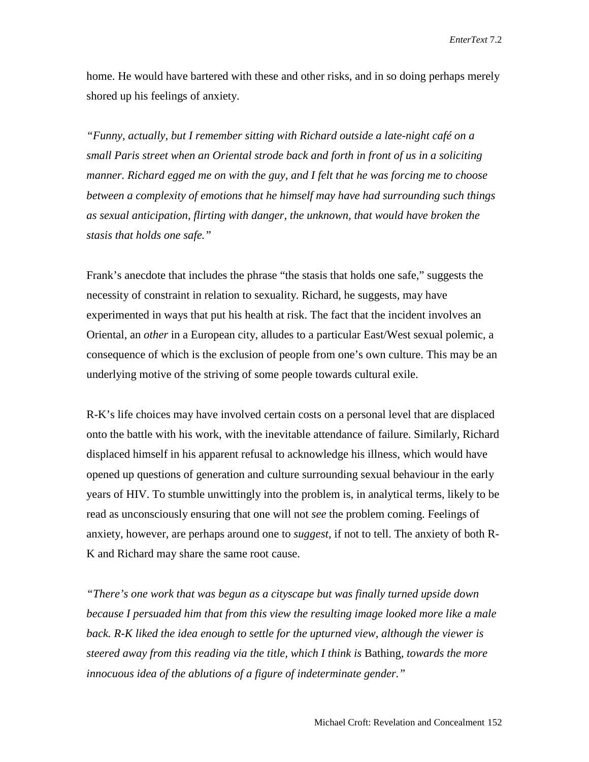home. He would have bartered with these and other risks, and in so doing perhaps merely shored up his feelings of anxiety.

*"Funny, actually, but I remember sitting with Richard outside a late-night café on a small Paris street when an Oriental strode back and forth in front of us in a soliciting manner. Richard egged me on with the guy, and I felt that he was forcing me to choose between a complexity of emotions that he himself may have had surrounding such things as sexual anticipation, flirting with danger, the unknown, that would have broken the stasis that holds one safe."* 

Frank's anecdote that includes the phrase "the stasis that holds one safe," suggests the necessity of constraint in relation to sexuality. Richard, he suggests, may have experimented in ways that put his health at risk. The fact that the incident involves an Oriental, an *other* in a European city, alludes to a particular East/West sexual polemic, a consequence of which is the exclusion of people from one's own culture. This may be an underlying motive of the striving of some people towards cultural exile.

R-K's life choices may have involved certain costs on a personal level that are displaced onto the battle with his work, with the inevitable attendance of failure. Similarly, Richard displaced himself in his apparent refusal to acknowledge his illness, which would have opened up questions of generation and culture surrounding sexual behaviour in the early years of HIV. To stumble unwittingly into the problem is, in analytical terms, likely to be read as unconsciously ensuring that one will not *see* the problem coming. Feelings of anxiety, however, are perhaps around one to *suggest*, if not to tell. The anxiety of both R-K and Richard may share the same root cause.

*"There's one work that was begun as a cityscape but was finally turned upside down because I persuaded him that from this view the resulting image looked more like a male back. R-K liked the idea enough to settle for the upturned view, although the viewer is steered away from this reading via the title, which I think is* Bathing*, towards the more innocuous idea of the ablutions of a figure of indeterminate gender."*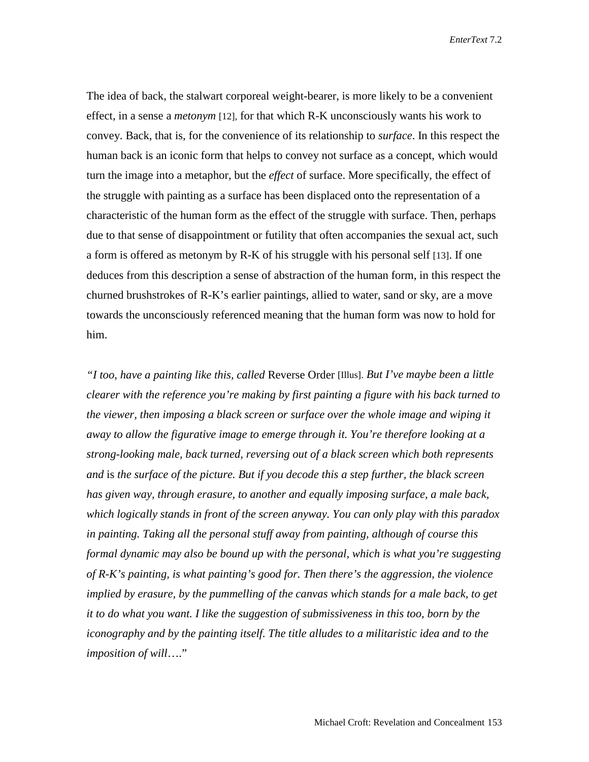The idea of back, the stalwart corporeal weight-bearer, is more likely to be a convenient effect, in a sense a *metonym* [12]*,* for that which R-K unconsciously wants his work to convey. Back, that is, for the convenience of its relationship to *surface*. In this respect the human back is an iconic form that helps to convey not surface as a concept, which would turn the image into a metaphor, but the *effect* of surface. More specifically, the effect of the struggle with painting as a surface has been displaced onto the representation of a characteristic of the human form as the effect of the struggle with surface. Then, perhaps due to that sense of disappointment or futility that often accompanies the sexual act, such a form is offered as metonym by R-K of his struggle with his personal self [13]. If one deduces from this description a sense of abstraction of the human form, in this respect the churned brushstrokes of R-K's earlier paintings, allied to water, sand or sky, are a move towards the unconsciously referenced meaning that the human form was now to hold for him.

*"I too, have a painting like this, called* Reverse Order [Illus]. *But I've maybe been a little clearer with the reference you're making by first painting a figure with his back turned to the viewer, then imposing a black screen or surface over the whole image and wiping it away to allow the figurative image to emerge through it. You're therefore looking at a strong-looking male, back turned, reversing out of a black screen which both represents and* is *the surface of the picture. But if you decode this a step further, the black screen has given way, through erasure, to another and equally imposing surface, a male back, which logically stands in front of the screen anyway. You can only play with this paradox in painting. Taking all the personal stuff away from painting, although of course this formal dynamic may also be bound up with the personal, which is what you're suggesting of R-K's painting, is what painting's good for. Then there's the aggression, the violence implied by erasure, by the pummelling of the canvas which stands for a male back, to get it to do what you want. I like the suggestion of submissiveness in this too, born by the iconography and by the painting itself. The title alludes to a militaristic idea and to the imposition of will*…."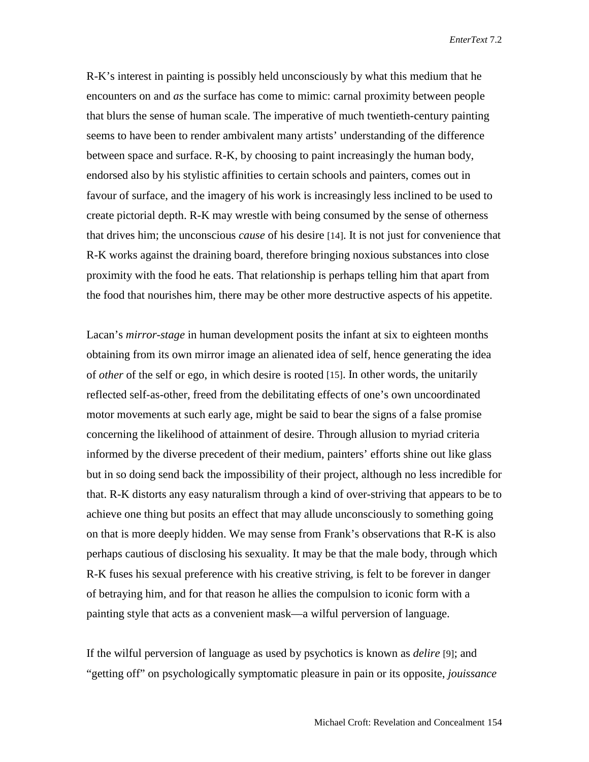R-K's interest in painting is possibly held unconsciously by what this medium that he encounters on and *as* the surface has come to mimic: carnal proximity between people that blurs the sense of human scale. The imperative of much twentieth-century painting seems to have been to render ambivalent many artists' understanding of the difference between space and surface. R-K, by choosing to paint increasingly the human body, endorsed also by his stylistic affinities to certain schools and painters, comes out in favour of surface, and the imagery of his work is increasingly less inclined to be used to create pictorial depth. R-K may wrestle with being consumed by the sense of otherness that drives him; the unconscious *cause* of his desire [14]. It is not just for convenience that R-K works against the draining board, therefore bringing noxious substances into close proximity with the food he eats. That relationship is perhaps telling him that apart from the food that nourishes him, there may be other more destructive aspects of his appetite.

Lacan's *mirror-stage* in human development posits the infant at six to eighteen months obtaining from its own mirror image an alienated idea of self, hence generating the idea of *other* of the self or ego, in which desire is rooted [15]. In other words, the unitarily reflected self-as-other, freed from the debilitating effects of one's own uncoordinated motor movements at such early age, might be said to bear the signs of a false promise concerning the likelihood of attainment of desire. Through allusion to myriad criteria informed by the diverse precedent of their medium, painters' efforts shine out like glass but in so doing send back the impossibility of their project, although no less incredible for that. R-K distorts any easy naturalism through a kind of over-striving that appears to be to achieve one thing but posits an effect that may allude unconsciously to something going on that is more deeply hidden. We may sense from Frank's observations that R-K is also perhaps cautious of disclosing his sexuality. It may be that the male body, through which R-K fuses his sexual preference with his creative striving, is felt to be forever in danger of betraying him, and for that reason he allies the compulsion to iconic form with a painting style that acts as a convenient mask—a wilful perversion of language.

If the wilful perversion of language as used by psychotics is known as *delire* [9]; and "getting off" on psychologically symptomatic pleasure in pain or its opposite, *jouissance*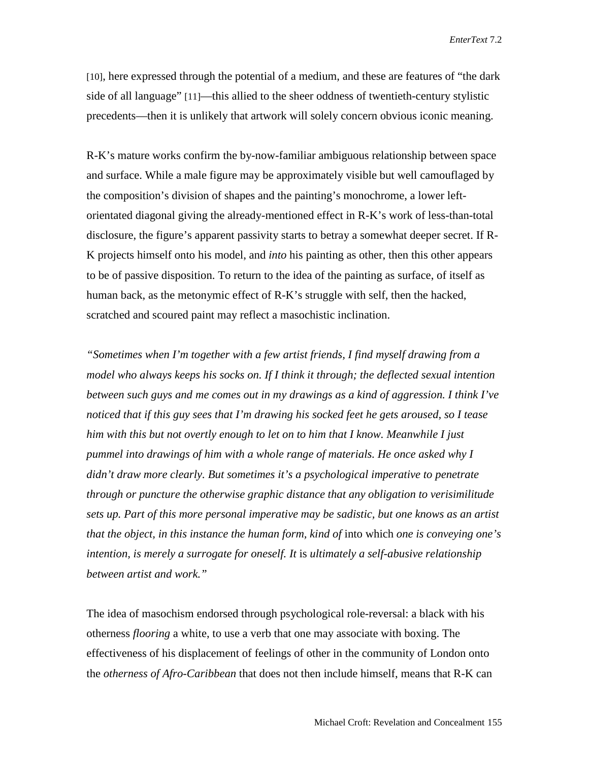[10], here expressed through the potential of a medium, and these are features of "the dark side of all language" [11]—this allied to the sheer oddness of twentieth-century stylistic precedents—then it is unlikely that artwork will solely concern obvious iconic meaning.

R-K's mature works confirm the by-now-familiar ambiguous relationship between space and surface. While a male figure may be approximately visible but well camouflaged by the composition's division of shapes and the painting's monochrome, a lower leftorientated diagonal giving the already-mentioned effect in R-K's work of less-than-total disclosure, the figure's apparent passivity starts to betray a somewhat deeper secret. If R-K projects himself onto his model, and *into* his painting as other, then this other appears to be of passive disposition. To return to the idea of the painting as surface, of itself as human back, as the metonymic effect of R-K's struggle with self, then the hacked, scratched and scoured paint may reflect a masochistic inclination.

*"Sometimes when I'm together with a few artist friends, I find myself drawing from a model who always keeps his socks on. If I think it through; the deflected sexual intention between such guys and me comes out in my drawings as a kind of aggression. I think I've noticed that if this guy sees that I'm drawing his socked feet he gets aroused, so I tease him with this but not overtly enough to let on to him that I know. Meanwhile I just pummel into drawings of him with a whole range of materials. He once asked why I didn't draw more clearly. But sometimes it's a psychological imperative to penetrate through or puncture the otherwise graphic distance that any obligation to verisimilitude sets up. Part of this more personal imperative may be sadistic, but one knows as an artist that the object, in this instance the human form, kind of* into which *one is conveying one's intention, is merely a surrogate for oneself. It* is *ultimately a self-abusive relationship between artist and work."* 

The idea of masochism endorsed through psychological role-reversal: a black with his otherness *flooring* a white, to use a verb that one may associate with boxing. The effectiveness of his displacement of feelings of other in the community of London onto the *otherness of Afro-Caribbean* that does not then include himself, means that R-K can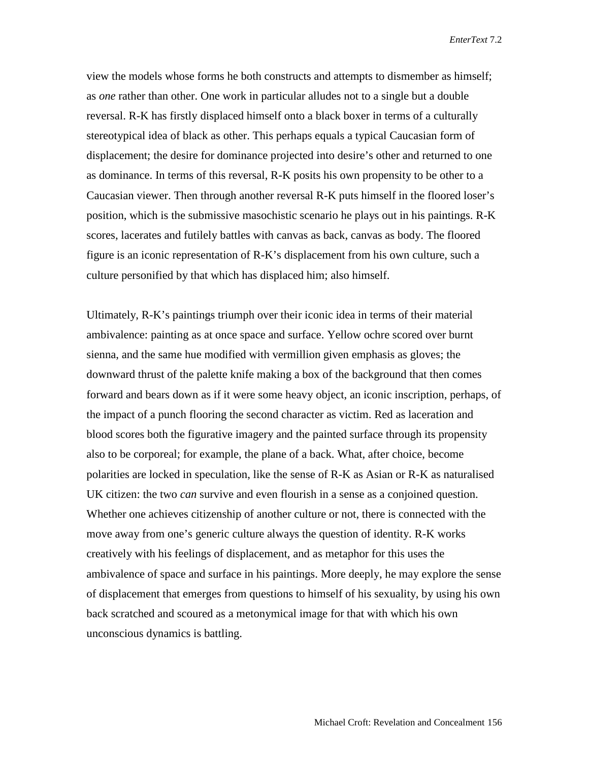view the models whose forms he both constructs and attempts to dismember as himself; as *one* rather than other. One work in particular alludes not to a single but a double reversal. R-K has firstly displaced himself onto a black boxer in terms of a culturally stereotypical idea of black as other. This perhaps equals a typical Caucasian form of displacement; the desire for dominance projected into desire's other and returned to one as dominance. In terms of this reversal, R-K posits his own propensity to be other to a Caucasian viewer. Then through another reversal R-K puts himself in the floored loser's position, which is the submissive masochistic scenario he plays out in his paintings. R-K scores, lacerates and futilely battles with canvas as back, canvas as body. The floored figure is an iconic representation of R-K's displacement from his own culture, such a culture personified by that which has displaced him; also himself.

Ultimately, R-K's paintings triumph over their iconic idea in terms of their material ambivalence: painting as at once space and surface. Yellow ochre scored over burnt sienna, and the same hue modified with vermillion given emphasis as gloves; the downward thrust of the palette knife making a box of the background that then comes forward and bears down as if it were some heavy object, an iconic inscription, perhaps, of the impact of a punch flooring the second character as victim. Red as laceration and blood scores both the figurative imagery and the painted surface through its propensity also to be corporeal; for example, the plane of a back. What, after choice, become polarities are locked in speculation, like the sense of R-K as Asian or R-K as naturalised UK citizen: the two *can* survive and even flourish in a sense as a conjoined question. Whether one achieves citizenship of another culture or not, there is connected with the move away from one's generic culture always the question of identity. R-K works creatively with his feelings of displacement, and as metaphor for this uses the ambivalence of space and surface in his paintings. More deeply, he may explore the sense of displacement that emerges from questions to himself of his sexuality, by using his own back scratched and scoured as a metonymical image for that with which his own unconscious dynamics is battling.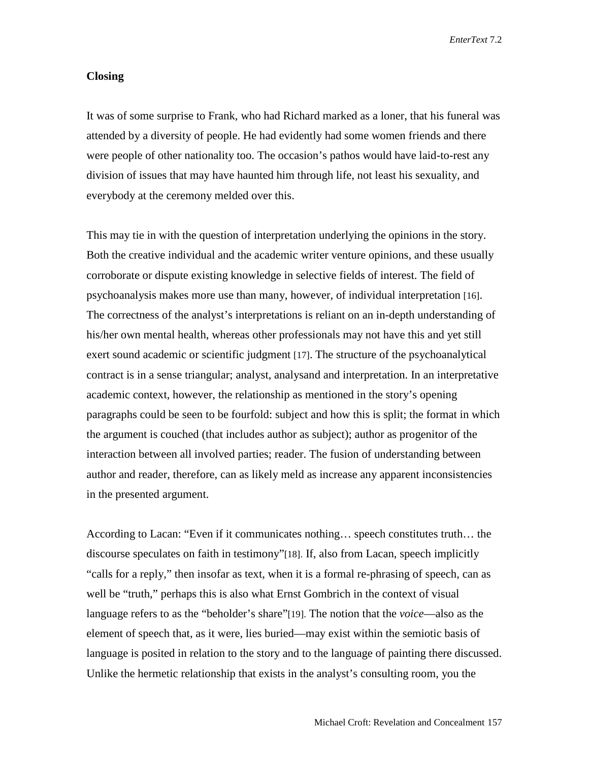#### **Closing**

It was of some surprise to Frank, who had Richard marked as a loner, that his funeral was attended by a diversity of people. He had evidently had some women friends and there were people of other nationality too. The occasion's pathos would have laid-to-rest any division of issues that may have haunted him through life, not least his sexuality, and everybody at the ceremony melded over this.

This may tie in with the question of interpretation underlying the opinions in the story. Both the creative individual and the academic writer venture opinions, and these usually corroborate or dispute existing knowledge in selective fields of interest. The field of psychoanalysis makes more use than many, however, of individual interpretation [16]. The correctness of the analyst's interpretations is reliant on an in-depth understanding of his/her own mental health, whereas other professionals may not have this and yet still exert sound academic or scientific judgment [17]. The structure of the psychoanalytical contract is in a sense triangular; analyst, analysand and interpretation. In an interpretative academic context, however, the relationship as mentioned in the story's opening paragraphs could be seen to be fourfold: subject and how this is split; the format in which the argument is couched (that includes author as subject); author as progenitor of the interaction between all involved parties; reader. The fusion of understanding between author and reader, therefore, can as likely meld as increase any apparent inconsistencies in the presented argument.

According to Lacan: "Even if it communicates nothing… speech constitutes truth… the discourse speculates on faith in testimony"[18]. If, also from Lacan, speech implicitly "calls for a reply," then insofar as text, when it is a formal re-phrasing of speech, can as well be "truth," perhaps this is also what Ernst Gombrich in the context of visual language refers to as the "beholder's share"[19]. The notion that the *voice*—also as the element of speech that, as it were, lies buried—may exist within the semiotic basis of language is posited in relation to the story and to the language of painting there discussed. Unlike the hermetic relationship that exists in the analyst's consulting room, you the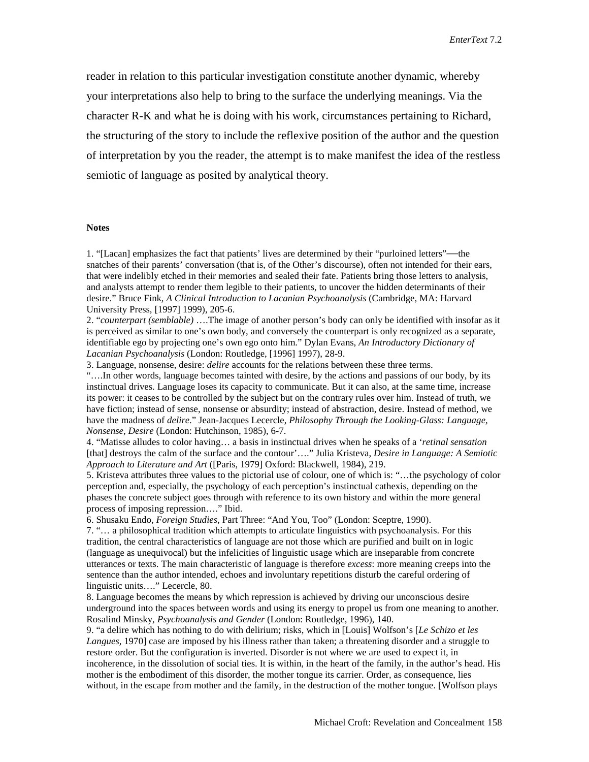reader in relation to this particular investigation constitute another dynamic, whereby your interpretations also help to bring to the surface the underlying meanings. Via the character R-K and what he is doing with his work, circumstances pertaining to Richard, the structuring of the story to include the reflexive position of the author and the question of interpretation by you the reader, the attempt is to make manifest the idea of the restless semiotic of language as posited by analytical theory.

#### **Notes**

1. "[Lacan] emphasizes the fact that patients' lives are determined by their "purloined letters"—the snatches of their parents' conversation (that is, of the Other's discourse), often not intended for their ears, that were indelibly etched in their memories and sealed their fate. Patients bring those letters to analysis, and analysts attempt to render them legible to their patients, to uncover the hidden determinants of their desire." Bruce Fink, *A Clinical Introduction to Lacanian Psychoanalysis* (Cambridge, MA: Harvard University Press, [1997] 1999), 205-6.

2. "*counterpart (semblable)* ….The image of another person's body can only be identified with insofar as it is perceived as similar to one's own body, and conversely the counterpart is only recognized as a separate, identifiable ego by projecting one's own ego onto him." Dylan Evans, *An Introductory Dictionary of Lacanian Psychoanalysis* (London: Routledge, [1996] 1997), 28-9.

3. Language, nonsense, desire: *delire* accounts for the relations between these three terms.

"….In other words, language becomes tainted with desire, by the actions and passions of our body, by its instinctual drives. Language loses its capacity to communicate. But it can also, at the same time, increase its power: it ceases to be controlled by the subject but on the contrary rules over him. Instead of truth, we have fiction; instead of sense, nonsense or absurdity; instead of abstraction, desire. Instead of method, we have the madness of *delire*." Jean-Jacques Lecercle, *Philosophy Through the Looking-Glass: Language, Nonsense, Desire* (London: Hutchinson, 1985), 6-7.

4. "Matisse alludes to color having… a basis in instinctual drives when he speaks of a '*retinal sensation* [that] destroys the calm of the surface and the contour'…." Julia Kristeva, *Desire in Language: A Semiotic Approach to Literature and Art* ([Paris, 1979] Oxford: Blackwell, 1984), 219.

5. Kristeva attributes three values to the pictorial use of colour, one of which is: "…the psychology of color perception and, especially, the psychology of each perception's instinctual cathexis, depending on the phases the concrete subject goes through with reference to its own history and within the more general process of imposing repression…." Ibid.

6. Shusaku Endo, *Foreign Studies*, Part Three: "And You, Too" (London: Sceptre, 1990).

7. "… a philosophical tradition which attempts to articulate linguistics with psychoanalysis. For this tradition, the central characteristics of language are not those which are purified and built on in logic (language as unequivocal) but the infelicities of linguistic usage which are inseparable from concrete utterances or texts. The main characteristic of language is therefore *excess*: more meaning creeps into the sentence than the author intended, echoes and involuntary repetitions disturb the careful ordering of linguistic units…." Lecercle, 80.

8. Language becomes the means by which repression is achieved by driving our unconscious desire underground into the spaces between words and using its energy to propel us from one meaning to another. Rosalind Minsky, *Psychoanalysis and Gender* (London: Routledge, 1996), 140.

9. "a delire which has nothing to do with delirium; risks, which in [Louis] Wolfson's [*Le Schizo et les Langues,* 1970] case are imposed by his illness rather than taken; a threatening disorder and a struggle to restore order. But the configuration is inverted. Disorder is not where we are used to expect it, in incoherence, in the dissolution of social ties. It is within, in the heart of the family, in the author's head. His mother is the embodiment of this disorder, the mother tongue its carrier. Order, as consequence, lies without, in the escape from mother and the family, in the destruction of the mother tongue. [Wolfson plays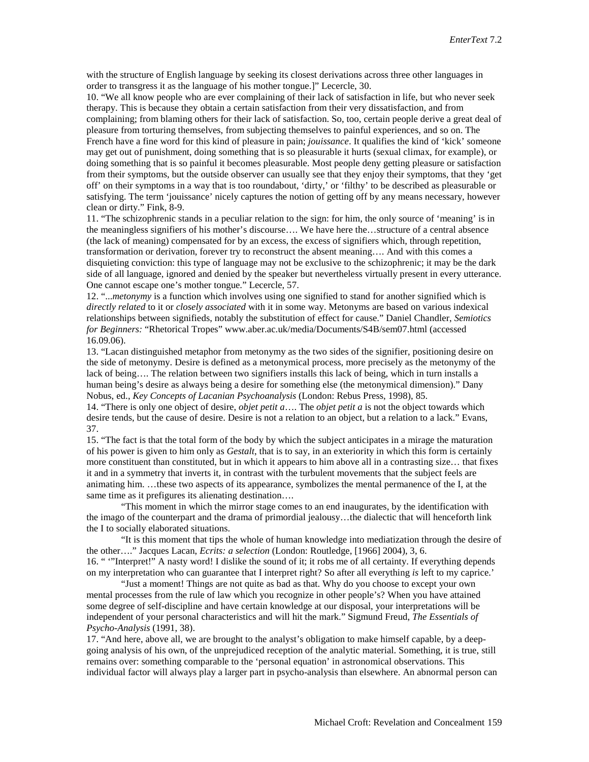with the structure of English language by seeking its closest derivations across three other languages in order to transgress it as the language of his mother tongue.]" Lecercle, 30.

10. "We all know people who are ever complaining of their lack of satisfaction in life, but who never seek therapy. This is because they obtain a certain satisfaction from their very dissatisfaction, and from complaining; from blaming others for their lack of satisfaction. So, too, certain people derive a great deal of pleasure from torturing themselves, from subjecting themselves to painful experiences, and so on. The French have a fine word for this kind of pleasure in pain; *jouissance*. It qualifies the kind of 'kick' someone may get out of punishment, doing something that is so pleasurable it hurts (sexual climax, for example), or doing something that is so painful it becomes pleasurable. Most people deny getting pleasure or satisfaction from their symptoms, but the outside observer can usually see that they enjoy their symptoms, that they 'get off' on their symptoms in a way that is too roundabout, 'dirty,' or 'filthy' to be described as pleasurable or satisfying. The term 'jouissance' nicely captures the notion of getting off by any means necessary, however clean or dirty." Fink, 8-9.

11. "The schizophrenic stands in a peculiar relation to the sign: for him, the only source of 'meaning' is in the meaningless signifiers of his mother's discourse…. We have here the…structure of a central absence (the lack of meaning) compensated for by an excess, the excess of signifiers which, through repetition, transformation or derivation, forever try to reconstruct the absent meaning…. And with this comes a disquieting conviction: this type of language may not be exclusive to the schizophrenic; it may be the dark side of all language, ignored and denied by the speaker but nevertheless virtually present in every utterance. One cannot escape one's mother tongue." Lecercle, 57.

12. "...*metonymy* is a function which involves using one signified to stand for another signified which is *directly related* to it or *closely associated* with it in some way. Metonyms are based on various indexical relationships between signifieds, notably the substitution of effect for cause." Daniel Chandler, *Semiotics for Beginners:* "Rhetorical Tropes" [www.aber.ac.uk/media/Documents/S4B/sem07.html \(](http://www.aber.ac.uk/media/Documents/S4B/sem07.html)accessed 16.09.06).

13. "Lacan distinguished metaphor from metonymy as the two sides of the signifier, positioning desire on the side of metonymy. Desire is defined as a metonymical process, more precisely as the metonymy of the lack of being…. The relation between two signifiers installs this lack of being, which in turn installs a human being's desire as always being a desire for something else (the metonymical dimension)." Dany Nobus, ed., *Key Concepts of Lacanian Psychoanalysis* (London: Rebus Press, 1998), 85.

14. "There is only one object of desire, *objet petit a*…. The *objet petit a* is not the object towards which desire tends, but the cause of desire. Desire is not a relation to an object, but a relation to a lack." Evans, 37.

15. "The fact is that the total form of the body by which the subject anticipates in a mirage the maturation of his power is given to him only as *Gestalt*, that is to say, in an exteriority in which this form is certainly more constituent than constituted, but in which it appears to him above all in a contrasting size… that fixes it and in a symmetry that inverts it, in contrast with the turbulent movements that the subject feels are animating him. …these two aspects of its appearance, symbolizes the mental permanence of the I, at the same time as it prefigures its alienating destination….

"This moment in which the mirror stage comes to an end inaugurates, by the identification with the imago of the counterpart and the drama of primordial jealousy…the dialectic that will henceforth link the I to socially elaborated situations.

"It is this moment that tips the whole of human knowledge into mediatization through the desire of the other…." Jacques Lacan, *Ecrits: a selection* (London: Routledge, [1966] 2004), 3, 6. 16. " '"Interpret!" A nasty word! I dislike the sound of it; it robs me of all certainty. If everything depends on my interpretation who can guarantee that I interpret right? So after all everything *is* left to my caprice.'

"Just a moment! Things are not quite as bad as that. Why do you choose to except your own mental processes from the rule of law which you recognize in other people's? When you have attained some degree of self-discipline and have certain knowledge at our disposal, your interpretations will be independent of your personal characteristics and will hit the mark." Sigmund Freud, *The Essentials of Psycho-Analysis* (1991, 38).

17. "And here, above all, we are brought to the analyst's obligation to make himself capable, by a deepgoing analysis of his own, of the unprejudiced reception of the analytic material. Something, it is true, still remains over: something comparable to the 'personal equation' in astronomical observations. This individual factor will always play a larger part in psycho-analysis than elsewhere. An abnormal person can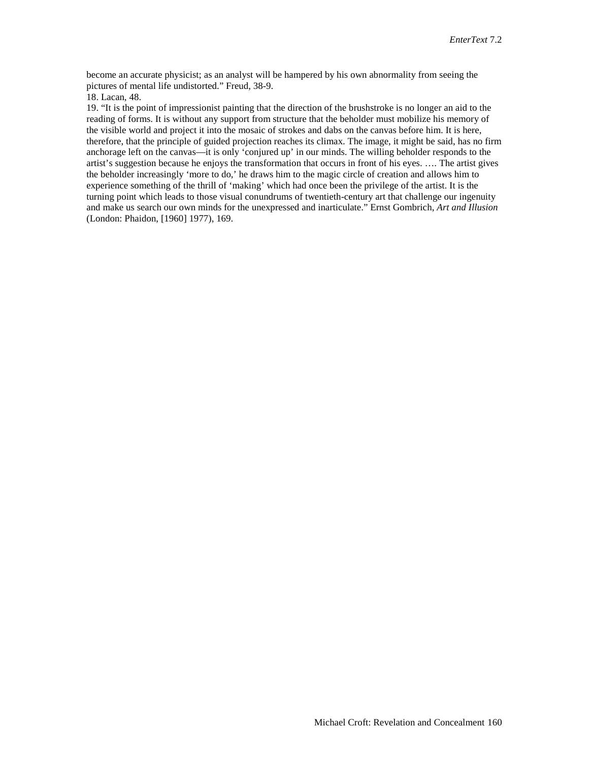become an accurate physicist; as an analyst will be hampered by his own abnormality from seeing the pictures of mental life undistorted." Freud, 38-9.

18. Lacan, 48.

19. "It is the point of impressionist painting that the direction of the brushstroke is no longer an aid to the reading of forms. It is without any support from structure that the beholder must mobilize his memory of the visible world and project it into the mosaic of strokes and dabs on the canvas before him. It is here, therefore, that the principle of guided projection reaches its climax. The image, it might be said, has no firm anchorage left on the canvas—it is only 'conjured up' in our minds. The willing beholder responds to the artist's suggestion because he enjoys the transformation that occurs in front of his eyes. …. The artist gives the beholder increasingly 'more to do,' he draws him to the magic circle of creation and allows him to experience something of the thrill of 'making' which had once been the privilege of the artist. It is the turning point which leads to those visual conundrums of twentieth-century art that challenge our ingenuity and make us search our own minds for the unexpressed and inarticulate." Ernst Gombrich, *Art and Illusion* (London: Phaidon, [1960] 1977), 169.